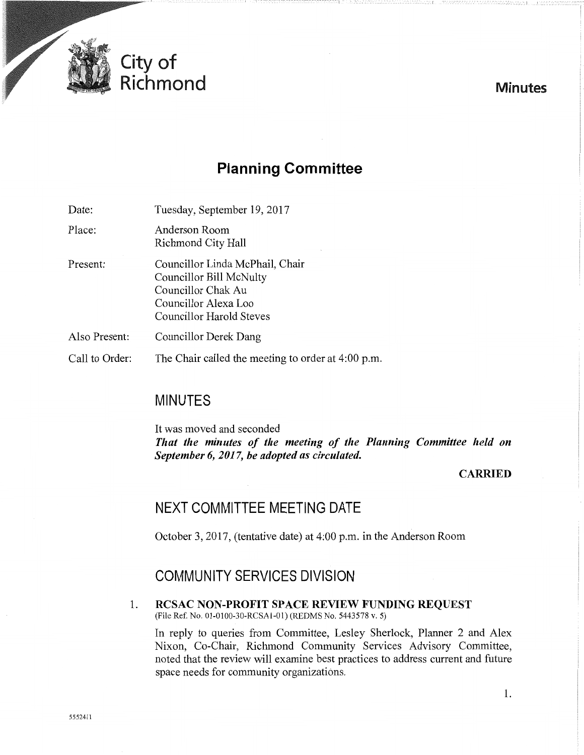

# **Planning Committee**

--- ---------------I

Date: Tuesday, September 19, 2017

Place: Anderson Room Richmond City Hall

- Present: Councillor Linda McPhail, Chair Councillor Bill McNulty Councillor Chak Au Councillor Alexa Loo Councillor Harold Steves
- Also Present: Councillor Derek Dang

Call to Order: The Chair called the meeting to order at 4:00 p.m.

## **MINUTES**

It was moved and seconded *That the minutes of the meeting of the Planning Committee held on September 6, 2017, be adopted as circulated.* 

## **CARRIED**

**Minutes** 

## **NEXT COMMITTEE MEETING DATE**

October 3, 2017, (tentative date) at 4:00 p.m. in the Anderson Room

## **COMMUNITY SERVICES DIVISION**

1. **RCSAC NON-PROFIT SPACE REVIEW FUNDING REQUEST**  (File Ref. No. 01-0100-30-RCSA1-01) (REDMS No. 5443578 v. 5)

In reply to queries from Committee, Lesley Sherlock, Planner 2 and Alex Nixon, Co-Chair, Richmond Community Services Advisory Committee, noted that the review will examine best practices to address current and future space needs for community organizations.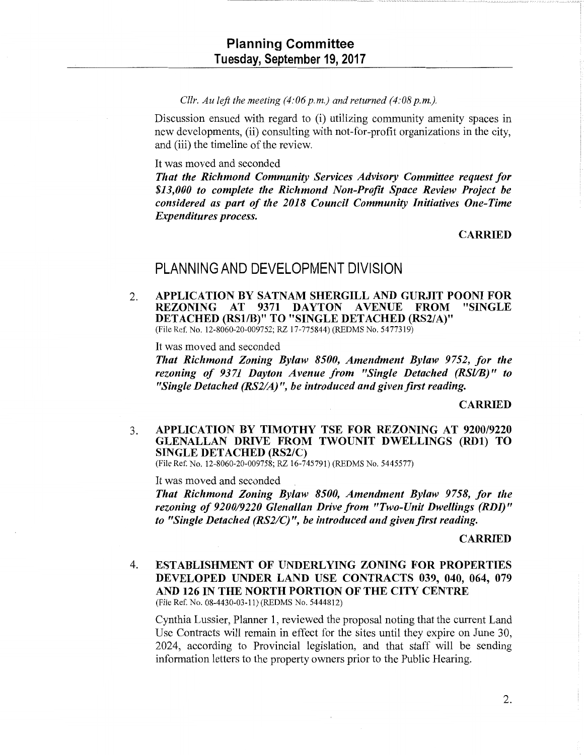#### *Cllr. Au left the meeting*  $(4:06 p.m.)$  *and returned*  $(4:08 p.m.).$

Discussion ensued with regard to (i) utilizing community amenity spaces in new developments, (ii) consulting with not-for-profit organizations in the city, and (iii) the time line of the review.

#### It was moved and seconded

*That the Richmond Community Services Advisory Committee request for \$13,000 to complete the Richmond Non-Profit Space Review Project be considered as part of the 2018 Council Community Initiatives One-Time Expenditures process.* 

#### CARRIED

## PLANNING AND DEVELOPMENT DIVISION

2. APPLICATION BY SATNAM SHERGILL AND GURJIT POONI FOR<br>REZONING AT 9371 DAYTON AVENUE FROM "SINGLE 9371 DAYTON AVENUE FROM DETACHED (RSl/B)" TO "SINGLE DETACHED (RS2/A)" (File Ref. No. 12-8060-20-009752; RZ 17-775844) (REDMS No. 5477319)

It was moved and seconded

*That Richmond Zoning Bylaw 8500, Amendment Bylaw 9752, for the rezoning of 9371 Dayton Avenue from "Single Detached (RSl/B)" to "Single Detached (RS2/A)", be introduced and given first reading.* 

#### CARRIED

### 3. APPLICATION BY TIMOTHY TSE FOR REZONING AT 9200/9220 GLENALLAN DRIVE FROM TWOUNIT DWELLINGS (RD1) TO SINGLE DETACHED (RS2/C)

(File Ref. No. 12-8060-20-009758; RZ 16-745791) (REDMS No. 5445577)

It was moved and seconded

*That Richmond Zoning Bylaw 8500, Amendment Bylaw 9758, for the rezoning of 9200/9220 Glenallan Drive from "Two-Unit Dwellings (RDI)" to "Single Detached (RS2/C)* ", *be introduced and given first reading.* 

#### CARRIED

4. ESTABLISHMENT OF UNDERLYING ZONING FOR PROPERTIES DEVELOPED UNDER LAND USE CONTRACTS 039, 040, 064, 079 AND 126 IN THE NORTH PORTION OF THE CITY CENTRE

(File Ref. No. 08-4430-03-11) (REDMS No. 5444812)

Cynthia Lussier, Planner 1, reviewed the proposal noting that the current Land Use Contracts will remain in effect for the sites until they expire on June 30, 2024, according to Provincial legislation, and that staff will be sending information letters to the property owners prior to the Public Hearing.

2.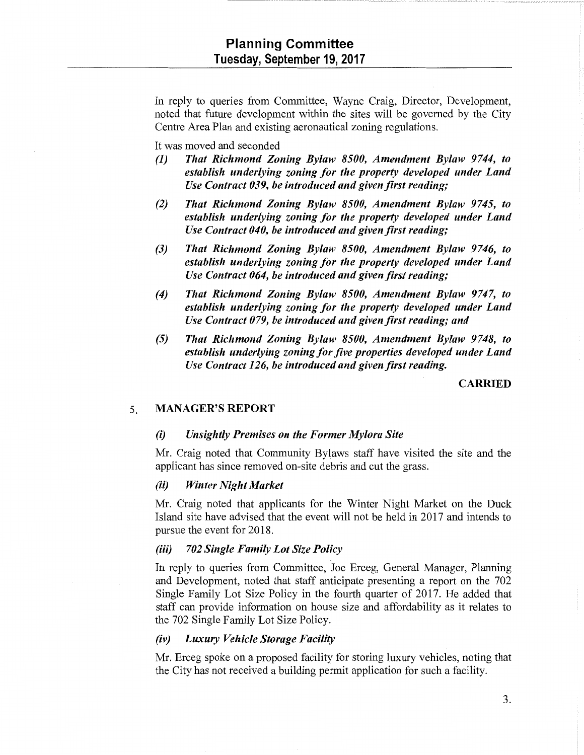In reply to queries from Committee, Wayne Craig, Director, Development, noted that future development within the sites will be governed by the City Centre Area Plan and existing aeronautical zoning regulations.

It was moved and seconded

- *(1) That Richmond Zoning Bylaw 8500, Amendment Bylaw 9744, to establish underlying zoning for the property developed under Land Use Contract 039, be introduced and given first reading;*
- *(2) That Richmond Zoning Bylaw 8500, Amendment Bylaw 9745, to establish underlying zoning for the property developed under Land Use Contract 040, be introduced and given first reading;*
- *(3) That Richmond Zoning Bylaw 8500, Amendment Bylaw 9746, to establish underlying zoning for the property developed under Land Use Contract 064, be introduced and given first reading;*
- *(4) That Richmond Zoning Bylaw 8500, Amendment Bylaw 9747, to establish underlying zoning for the property developed under Land Use Contract 079, be introduced and given first reading; and*
- *(5) That Richmond Zoning Bylaw 8500, Amendment Bylaw 9748, to establish underlying zoning for five properties developed under Land Use Contract 126, be introduced and given first reading.*

### CARRIED

### 5. MANAGER'S REPORT

#### *(i) Unsightly Premises on the Former Mylora Site*

Mr. Craig noted that Community Bylaws staff have visited the site and the applicant has since removed on-site debris and cut the grass.

#### (ii) *Winter Night Market*

Mr. Craig noted that applicants for the Winter Night Market on the Duck Island site have advised that the event will not be held in 2017 and intends to pursue the event for 2018.

#### *(iii) 702 Single Family Lot Size Policy*

In reply to queries from Committee, Joe Erceg, General Manager, Planning and Development, noted that staff anticipate presenting a report on the 702 Single Family Lot Size Policy in the fourth quarter of 2017. He added that staff can provide information on house size and affordability as it relates to the 702 Single Family Lot Size Policy.

## *(iv) Luxury Vehicle Storage Facility*

Mr. Erceg spoke on a proposed facility for storing luxury vehicles, noting that the City has not received a building permit application for such a facility.